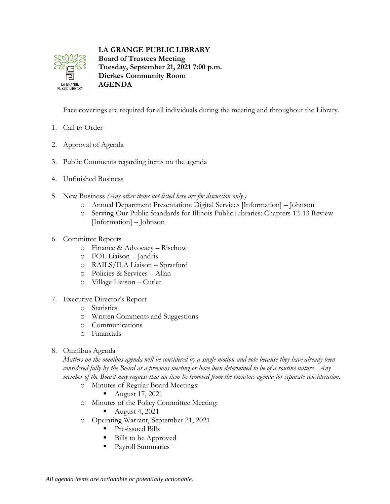

**LA GRANGE PUBLIC LIBRARY Board of Trustees Meeting**

**Tuesday, September 21, 2021 7:00 p.m. Dierkes Community Room AGENDA**

Face coverings are required for all individuals during the meeting and throughout the Library.

- 1. Call to Order
- 2. Approval of Agenda
- 3. Public Comments regarding items on the agenda
- 4. Unfinished Business
- 5. New Business *(Any other items not listed here are for discussion only.)*
	- o Annual Department Presentation: Digital Services [Information] Johnson
	- o Serving Our Public Standards for Illinois Public Libraries: Chapters 12-13 Review [Information] – Johnson
- 6. Committee Reports
	- o Finance & Advocacy Rischow
	- o FOL Liaison Jandris
	- o RAILS/ILA Liaison Spratford
	- o Policies & Services Allan
	- o Village Liaison Cutler
- 7. Executive Director's Report
	- o Statistics
	- o Written Comments and Suggestions
	- o Communications
	- o Financials
- 8. Omnibus Agenda

*Matters on the omnibus agenda will be considered by a single motion and vote because they have already been considered fully by the Board at a previous meeting or have been determined to be of a routine nature. Any member of the Board may request that an item be removed from the omnibus agenda for separate consideration.*

- o Minutes of Regular Board Meetings:
	- August 17, 2021
- o Minutes of the Policy Committee Meeting:
	- August 4, 2021
- o Operating Warrant, September 21, 2021
	- Pre-issued Bills
	- Bills to be Approved
	- Payroll Summaries